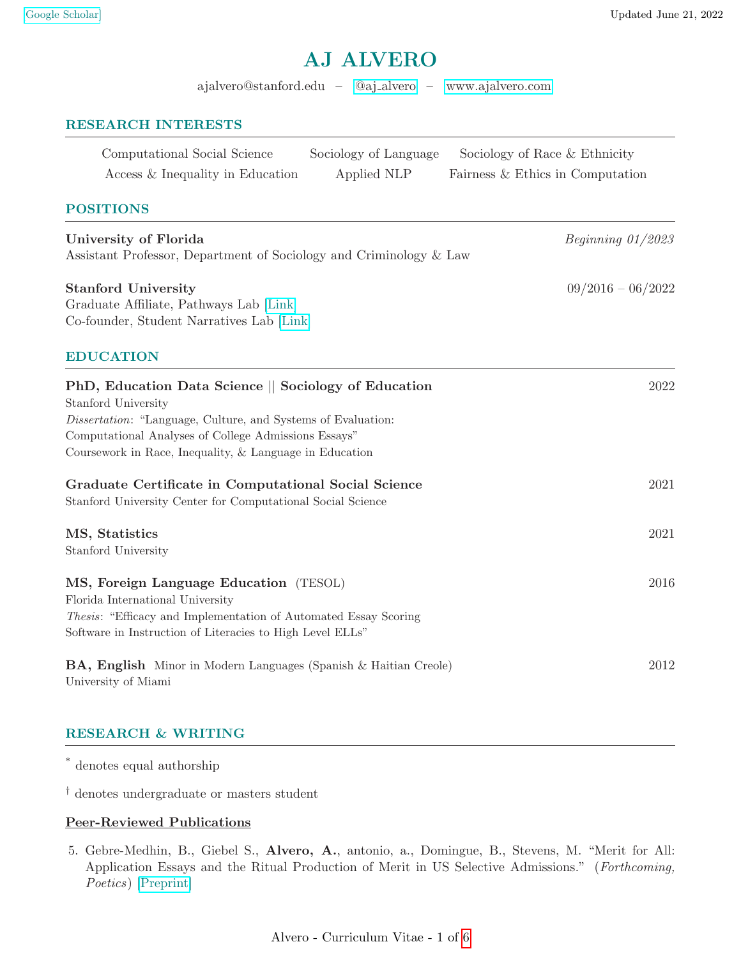# AJ ALVERO

ajalvero@stanford.edu – @aj [alvero](https://twitter.com/aj_alvero) –<www.ajalvero.com>

## RESEARCH INTERESTS

| Computational Social Science     | Sociology of Language | Sociology of Race & Ethnicity    |
|----------------------------------|-----------------------|----------------------------------|
| Access & Inequality in Education | Applied NLP           | Fairness & Ethics in Computation |

# POSITIONS

| University of Florida<br>Assistant Professor, Department of Sociology and Criminology & Law                        | Beginning $01/2023$ |
|--------------------------------------------------------------------------------------------------------------------|---------------------|
| <b>Stanford University</b><br>Graduate Affiliate, Pathways Lab [Link]<br>Co-founder, Student Narratives Lab [Link] | $09/2016 - 06/2022$ |
| <b>EDUCATION</b>                                                                                                   |                     |
| PhD, Education Data Science    Sociology of Education<br>Stanford University                                       | 2022                |

Dissertation: "Language, Culture, and Systems of Evaluation: Computational Analyses of College Admissions Essays"

Coursework in Race, Inequality, & Language in Education

| Graduate Certificate in Computational Social Science<br>Stanford University Center for Computational Social Science                                                                                                | 2021 |
|--------------------------------------------------------------------------------------------------------------------------------------------------------------------------------------------------------------------|------|
| MS, Statistics<br>Stanford University                                                                                                                                                                              | 2021 |
| MS, Foreign Language Education (TESOL)<br>Florida International University<br><i>Thesis:</i> "Efficacy and Implementation of Automated Essay Scoring"<br>Software in Instruction of Literacies to High Level ELLs" | 2016 |
| <b>BA, English</b> Minor in Modern Languages (Spanish & Haitian Creole)                                                                                                                                            | 2012 |

RESEARCH & WRITING

\* denotes equal authorship

University of Miami

† denotes undergraduate or masters student

## Peer-Reviewed Publications

5. Gebre-Medhin, B., Giebel S., Alvero, A., antonio, a., Domingue, B., Stevens, M. "Merit for All: Application Essays and the Ritual Production of Merit in US Selective Admissions." (Forthcoming, Poetics) [\[Preprint\]](https://osf.io/preprints/socarxiv/njhg9)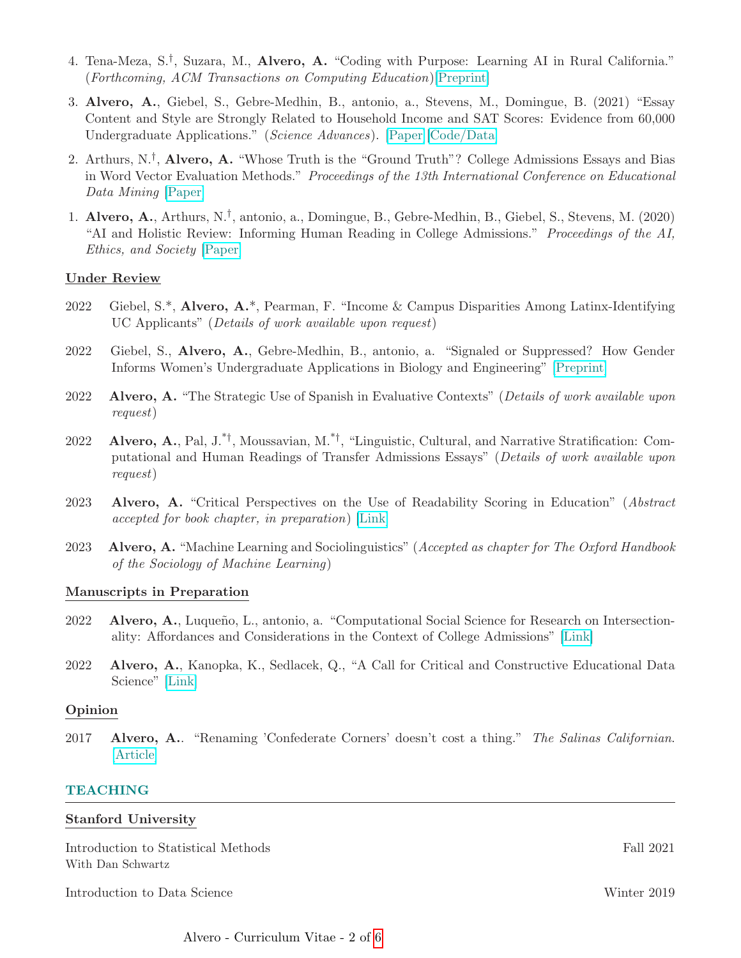- 4. Tena-Meza, S.<sup>†</sup>, Suzara, M., **Alvero, A.** "Coding with Purpose: Learning AI in Rural California." (Forthcoming, ACM Transactions on Computing Education)[\[Preprint\]](https://arxiv.org/abs/2108.13363)
- 3. Alvero, A., Giebel, S., Gebre-Medhin, B., antonio, a., Stevens, M., Domingue, B. (2021) "Essay Content and Style are Strongly Related to Household Income and SAT Scores: Evidence from 60,000 Undergraduate Applications." (Science Advances). [\[Paper\]](https://www.science.org/doi/10.1126/sciadv.abi9031)[\[Code/Data\]](https://dataverse.harvard.edu/dataverse/SAT_and_Essays)
- 2. Arthurs,  $N.\dot{}$ , Alvero, A. "Whose Truth is the "Ground Truth"? College Admissions Essays and Bias in Word Vector Evaluation Methods." Proceedings of the 13th International Conference on Educational Data Mining [\[Paper\]](https://files.eric.ed.gov/fulltext/ED608067.pdf)
- 1. Alvero, A., Arthurs, N.† , antonio, a., Domingue, B., Gebre-Medhin, B., Giebel, S., Stevens, M. (2020) "AI and Holistic Review: Informing Human Reading in College Admissions." Proceedings of the AI, Ethics, and Society [\[Paper\]](https://dl.acm.org/doi/pdf/10.1145/3375627.3375871)

## Under Review

- 2022 Giebel, S.\*, Alvero, A.\*, Pearman, F. "Income & Campus Disparities Among Latinx-Identifying UC Applicants" (Details of work available upon request)
- 2022 Giebel, S., Alvero, A., Gebre-Medhin, B., antonio, a. "Signaled or Suppressed? How Gender Informs Women's Undergraduate Applications in Biology and Engineering" [\[Preprint\]](https://osf.io/preprints/socarxiv/ygr5e/)
- 2022 Alvero, A. "The Strategic Use of Spanish in Evaluative Contexts" (Details of work available upon request)
- 2022 Alvero, A., Pal, J.<sup>\*†</sup>, Moussavian, M.<sup>\*†</sup>, "Linguistic, Cultural, and Narrative Stratification: Computational and Human Readings of Transfer Admissions Essays" (Details of work available upon request)
- 2023 Alvero, A. "Critical Perspectives on the Use of Readability Scoring in Education" (Abstract accepted for book chapter, in preparation) [\[Link\]](http://web.stanford.edu/group/swaywo/cgi-bin/wordpress/?p=305)
- 2023 Alvero, A. "Machine Learning and Sociolinguistics" (Accepted as chapter for The Oxford Handbook of the Sociology of Machine Learning)

## Manuscripts in Preparation

- 2022 Alvero, A., Luqueño, L., antonio, a. "Computational Social Science for Research on Intersectionality: Affordances and Considerations in the Context of College Admissions" [\[Link\]](https://ascnhighered.org/ASCN/transforming_institutions/2021/program/posters/session_c/2/243628.html)
- 2022 Alvero, A., Kanopka, K., Sedlacek, Q., "A Call for Critical and Constructive Educational Data Science" [\[Link\]](https://stanford.app.box.com/s/xfheizzctyo97j6kuh0kciwsvmqxhxll)

## Opinion

2017 Alvero, A.. "Renaming 'Confederate Corners' doesn't cost a thing." The Salinas Californian. [\[Article\]](https://www.thecalifornian.com/story/opinion/2017/10/27/letter-editor-renaming-confederate-corners-doesnt-cost-thing/805352001/)

# TEACHING

## Stanford University

Introduction to Statistical Methods Fall 2021 With Dan Schwartz

Introduction to Data Science Winter 2019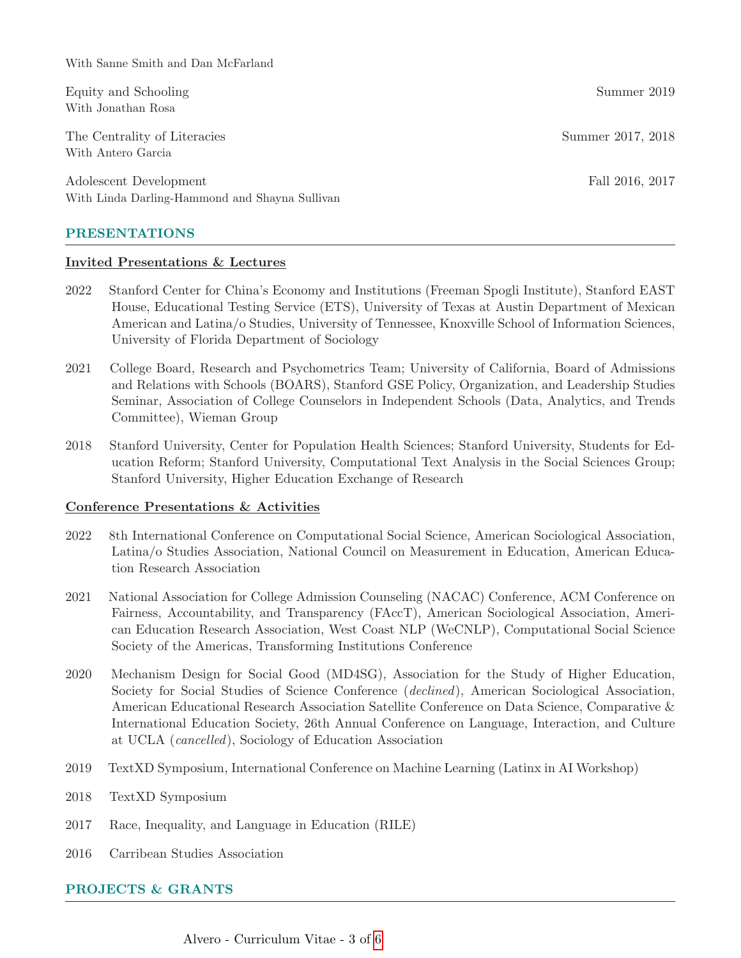With Sanne Smith and Dan McFarland

Equity and Schooling Summer 2019 With Jonathan Rosa

The Centrality of Literacies Summer 2017, 2018 With Antero Garcia

Adolescent Development Fall 2016, 2017 With Linda Darling-Hammond and Shayna Sullivan

# PRESENTATIONS

## Invited Presentations & Lectures

- 2022 Stanford Center for China's Economy and Institutions (Freeman Spogli Institute), Stanford EAST House, Educational Testing Service (ETS), University of Texas at Austin Department of Mexican American and Latina/o Studies, University of Tennessee, Knoxville School of Information Sciences, University of Florida Department of Sociology
- 2021 College Board, Research and Psychometrics Team; University of California, Board of Admissions and Relations with Schools (BOARS), Stanford GSE Policy, Organization, and Leadership Studies Seminar, Association of College Counselors in Independent Schools (Data, Analytics, and Trends Committee), Wieman Group
- 2018 Stanford University, Center for Population Health Sciences; Stanford University, Students for Education Reform; Stanford University, Computational Text Analysis in the Social Sciences Group; Stanford University, Higher Education Exchange of Research

# Conference Presentations & Activities

- 2022 8th International Conference on Computational Social Science, American Sociological Association, Latina/o Studies Association, National Council on Measurement in Education, American Education Research Association
- 2021 National Association for College Admission Counseling (NACAC) Conference, ACM Conference on Fairness, Accountability, and Transparency (FAccT), American Sociological Association, American Education Research Association, West Coast NLP (WeCNLP), Computational Social Science Society of the Americas, Transforming Institutions Conference
- 2020 Mechanism Design for Social Good (MD4SG), Association for the Study of Higher Education, Society for Social Studies of Science Conference (declined), American Sociological Association, American Educational Research Association Satellite Conference on Data Science, Comparative & International Education Society, 26th Annual Conference on Language, Interaction, and Culture at UCLA (cancelled), Sociology of Education Association
- 2019 TextXD Symposium, International Conference on Machine Learning (Latinx in AI Workshop)
- 2018 TextXD Symposium
- 2017 Race, Inequality, and Language in Education (RILE)
- 2016 Carribean Studies Association

# PROJECTS & GRANTS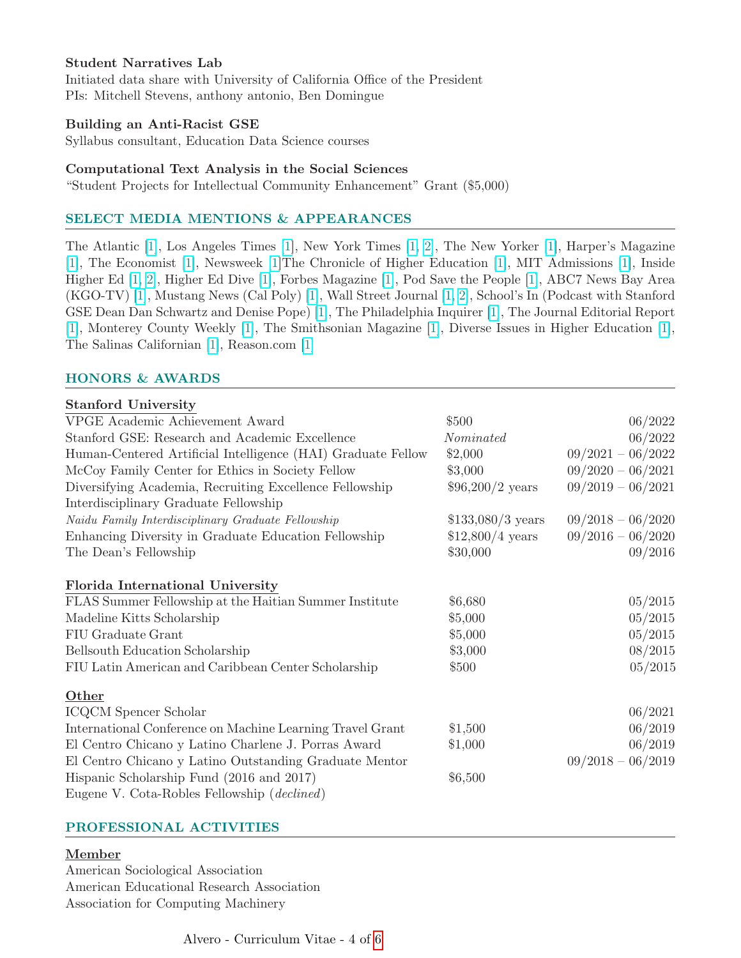# Student Narratives Lab

Initiated data share with University of California Office of the President PIs: Mitchell Stevens, anthony antonio, Ben Domingue

## Building an Anti-Racist GSE

Syllabus consultant, Education Data Science courses

## Computational Text Analysis in the Social Sciences

"Student Projects for Intellectual Community Enhancement" Grant (\$5,000)

## SELECT MEDIA MENTIONS & APPEARANCES

The Atlantic [\[1\]](https://www.theatlantic.com/ideas/archive/2022/04/mit-admissions-reinstates-sat-act-tests/629455/), Los Angeles Times [\[1\]](https://www.latimes.com/opinion/story/2022-02-21/editorial-whats-less-fair-than-the-sat-you-might-be-surprised), New York Times [\[1,](https://www.nytimes.com/2021/12/09/learning/whats-going-on-in-this-graph-jan-5-2022.html?unlocked_article_code=AAAAAAAAAAAAAAAACEIPuomT1JKd6J17Vw1cRCfTTMQmqxCdw_PIxftm3iWna3HPDm4TiOAYCpKG-kHCIrVjbscomjucRdlOdbgpAf10i_NfPlcoRBOhupvBmp0DZnhw89rpBCU2w5fJF_gewAPdU1OYeq151aHt-FWPKiSxCvmIzyd1dwZkoZVlaVCg3CEXwqjCRvol0th4wfx2AJ5xR29UMXSJueL6SEkrYKXwZRHY4gY9WOtYSGuTyYbas-RcBV0UXVHWT3p_4nI-68dcO74UNKX4Jh0ncKnukOlbSzwofMryWcpHF8WDnK5qsLXNtRWN1MGwov09H6let7_P2X2ol1QqeMFaI6SRbfgKgDMKIg&smid=url-share) [2\]](https://www.nytimes.com/2021/05/26/upshot/college-admissions-essay-sat.html?partner=slack&smid=sl-share), The New Yorker [\[1\]](https://www.newyorker.com/news/annals-of-education/how-the-pandemic-remade-the-sat), Harper's Magazine [\[1\]](https://harpers.org/archive/2021/09/), The Economist [\[1\]](https://www.economist.com/united-states/2021/04/08/america-tries-to-figure-out-a-fairer-way-to-select-students), Newsweek [\[1\]](https://www.newsweek.com/canceling-standardized-testing-does-disservice-disadvantaged-students-opinion-1609009)The Chronicle of Higher Education [\[1\]](https://www.chronicle.com/article/mit-is-bringing-back-the-sat-your-college-shouldnt?cid=gen_sign_in), MIT Admissions [\[1\]](https://mitadmissions.org/blogs/entry/we-are-reinstating-our-sat-act-requirement-for-future-admissions-cycles/), Inside Higher Ed [\[1,](https://www.insidehighered.com/admissions/article/2021/07/19/survey-colleges-finds-mixed-reactions-test-optional-admissions?utm_source=Inside+High) [2\]]( https://www.insidehighered.com/admissions/article/2021/06/01/do-college-application-essays-favor-wealthier-students#.YLaa-z88YGo.link), Higher Ed Dive [\[1\]](https://www.highereddive.com/news/how-the-national-test-optional-experiment-played-out-at-us-colleges/601488/), Forbes Magazine [\[1\]](https://www.forbes.com/sites/susanadams/2021/06/02/what-a-new-study-on-college-essays-and-family-income-really-means/?sh=fe6fdeb3ed9f), Pod Save the People [\[1\]](https://crooked.com/podcast/take-your-hand-off-with-alua-arthur/), ABC7 News Bay Area (KGO-TV) [\[1\]](https://www.facebook.com/watch/live/?v=230772755148923&ref=watch_permalink), Mustang News (Cal Poly) [\[1\]](https://mustangnews.net/college-trauma-students-from-marginalized-backgrounds-feel-pressured/), Wall Street Journal [\[1,](https://www.wsj.com/articles/inconvenient-facts-for-the-war-on-testing-11617563017) [2\]](https://www.wsj.com/articles/test-scores-count-again-at-mit-sat-act-standardized-tests-college-admissions-stu-schmill-11648660756?mod=opinion_lead_pos3), School's In (Podcast with Stanford GSE Dean Dan Schwartz and Denise Pope) [\[1\]](https://soundcloud.com/user-458541487/schools-in-alvero-01), The Philadelphia Inquirer [\[1\]](https://www.inquirer.com/opinion/commentary/college-admissions-tests-optional-blind-sat-act-20210726.html), The Journal Editorial Report [\[1\]]( https://video.foxnews.com/v/6248274095001#sp=show-clips), Monterey County Weekly [\[1\]]( https://www.montereycountyweekly.com/news/cover/a-researcher-from-salinas-is-using-artificial-intelligence-to-make-college-admissions-more-equitable/article_e5a13654-b678-11ea-8153-5b952fa59b28.html), The Smithsonian Magazine [\[1\]](https://www.smithsonianmag.com/history/bureaucrats-who-rename-confederate-landmarks-180972774/), Diverse Issues in Higher Education [\[1\]](https://www.diverseeducation.com/students/article/15289254/in-a-testoptional-environment-what-does-the-sat-mean), The Salinas Californian [\[1\]]( https://www.thecalifornian.com/story/news/2017/10/09/salinas-native-trying-change-name-confederate-corners/748220001/), Reason.com [\[1\]](https://reason.com/2022/02/20/first-world-problems/)

# HONORS & AWARDS

## Stanford University

| VPGE Academic Achievement Award                              | \$500              | 06/2022             |
|--------------------------------------------------------------|--------------------|---------------------|
| Stanford GSE: Research and Academic Excellence               | Nominated          | 06/2022             |
| Human-Centered Artificial Intelligence (HAI) Graduate Fellow | \$2,000            | $09/2021 - 06/2022$ |
| McCoy Family Center for Ethics in Society Fellow             | \$3,000            | $09/2020 - 06/2021$ |
| Diversifying Academia, Recruiting Excellence Fellowship      | $$96,200/2$ years  | $09/2019 - 06/2021$ |
| Interdisciplinary Graduate Fellowship                        |                    |                     |
| Naidu Family Interdisciplinary Graduate Fellowship           | $$133,080/3$ years | $09/2018 - 06/2020$ |
| Enhancing Diversity in Graduate Education Fellowship         | $$12,800/4$ years  | $09/2016 - 06/2020$ |
| The Dean's Fellowship                                        | \$30,000           | 09/2016             |
| <b>Florida International University</b>                      |                    |                     |
| FLAS Summer Fellowship at the Haitian Summer Institute       | \$6,680            | 05/2015             |
| Madeline Kitts Scholarship                                   | \$5,000            | 05/2015             |
| FIU Graduate Grant                                           | \$5,000            | 05/2015             |
| Bellsouth Education Scholarship                              | \$3,000            | 08/2015             |
| FIU Latin American and Caribbean Center Scholarship          | \$500              | 05/2015             |
| Other                                                        |                    |                     |
| ICQCM Spencer Scholar                                        |                    | 06/2021             |
| International Conference on Machine Learning Travel Grant    | \$1,500            | 06/2019             |
| El Centro Chicano y Latino Charlene J. Porras Award          | \$1,000            | 06/2019             |
| El Centro Chicano y Latino Outstanding Graduate Mentor       |                    | $09/2018 - 06/2019$ |
| Hispanic Scholarship Fund (2016 and 2017)                    | \$6,500            |                     |
| Eugene V. Cota-Robles Fellowship ( <i>declined</i> )         |                    |                     |

## PROFESSIONAL ACTIVITIES

## Member

American Sociological Association American Educational Research Association Association for Computing Machinery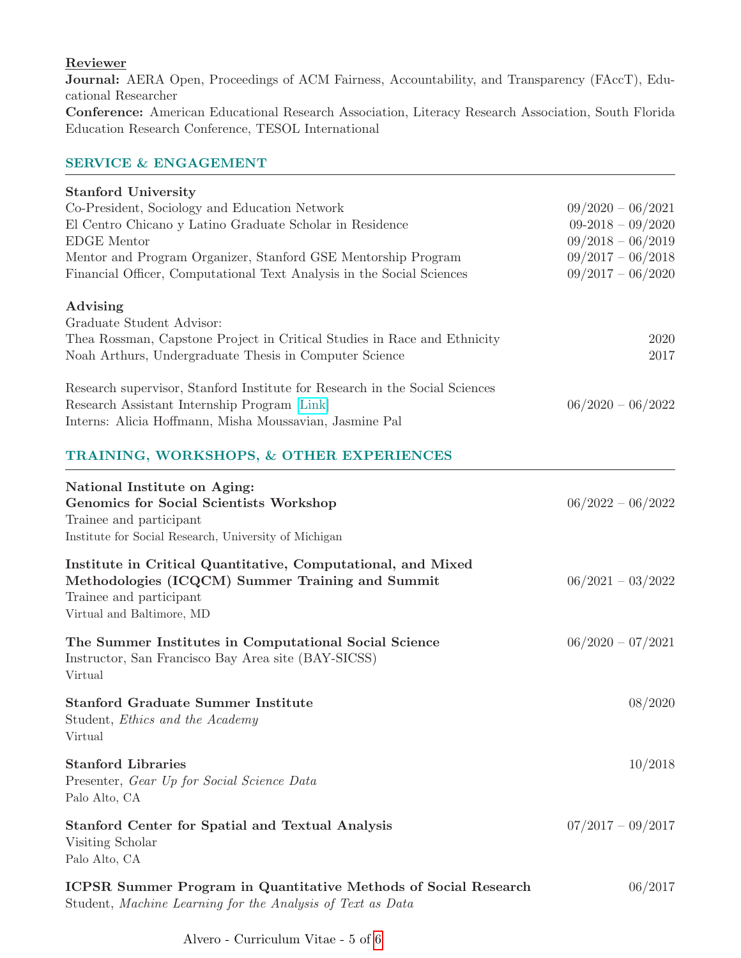# Reviewer

Journal: AERA Open, Proceedings of ACM Fairness, Accountability, and Transparency (FAccT), Educational Researcher

Conference: American Educational Research Association, Literacy Research Association, South Florida Education Research Conference, TESOL International

## SERVICE & ENGAGEMENT

| <b>Stanford University</b>                                                  |                     |
|-----------------------------------------------------------------------------|---------------------|
| Co-President, Sociology and Education Network                               | $09/2020 - 06/2021$ |
| El Centro Chicano y Latino Graduate Scholar in Residence                    | $09-2018-09/2020$   |
| <b>EDGE</b> Mentor                                                          | $09/2018 - 06/2019$ |
| Mentor and Program Organizer, Stanford GSE Mentorship Program               | $09/2017 - 06/2018$ |
| Financial Officer, Computational Text Analysis in the Social Sciences       | $09/2017 - 06/2020$ |
| Advising                                                                    |                     |
| Graduate Student Advisor:                                                   |                     |
| Thea Rossman, Capstone Project in Critical Studies in Race and Ethnicity    | 2020                |
| Noah Arthurs, Undergraduate Thesis in Computer Science                      | 2017                |
| Research supervisor, Stanford Institute for Research in the Social Sciences |                     |
| Research Assistant Internship Program [Link]                                | $06/2020 - 06/2022$ |
| Interns: Alicia Hoffmann, Misha Moussavian, Jasmine Pal                     |                     |
| TRAINING, WORKSHOPS, & OTHER EXPERIENCES                                    |                     |
| National Institute on Aging:                                                |                     |
| <b>Genomics for Social Scientists Workshop</b>                              | $06/2022 - 06/2022$ |
| Trainee and participant                                                     |                     |
| Institute for Social Research, University of Michigan                       |                     |
| Institute in Critical Quantitative, Computational, and Mixed                |                     |
| Methodologies (ICQCM) Summer Training and Summit                            | $06/2021 - 03/2022$ |
| Trainee and participant                                                     |                     |
| Virtual and Baltimore, MD                                                   |                     |
| The Summer Institutes in Computational Social Science                       | $06/2020 - 07/2021$ |
| Instructor, San Francisco Bay Area site (BAY-SICSS)                         |                     |
| Virtual                                                                     |                     |
| <b>Stanford Graduate Summer Institute</b>                                   | 08/2020             |
| Student, Ethics and the Academy                                             |                     |
| Virtual                                                                     |                     |
| <b>Stanford Libraries</b>                                                   | 10/2018             |
| Presenter, Gear Up for Social Science Data                                  |                     |
| Palo Alto, CA                                                               |                     |
| <b>Stanford Center for Spatial and Textual Analysis</b>                     | $07/2017 - 09/2017$ |
| Visiting Scholar                                                            |                     |
| Palo Alto, CA                                                               |                     |
| <b>ICPSR Summer Program in Quantitative Methods of Social Research</b>      | 06/2017             |
| Student, Machine Learning for the Analysis of Text as Data                  |                     |

Alvero - Curriculum Vitae - 5 of [6](#page-5-0)